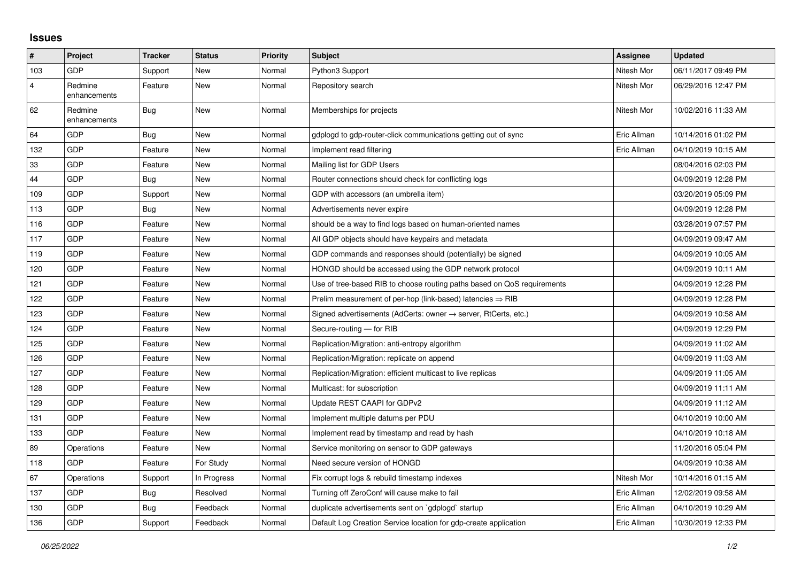## **Issues**

| #              | Project                 | <b>Tracker</b> | <b>Status</b> | <b>Priority</b> | <b>Subject</b>                                                             | Assignee    | <b>Updated</b>      |
|----------------|-------------------------|----------------|---------------|-----------------|----------------------------------------------------------------------------|-------------|---------------------|
| 103            | GDP                     | Support        | <b>New</b>    | Normal          | Python3 Support                                                            | Nitesh Mor  | 06/11/2017 09:49 PM |
| $\overline{4}$ | Redmine<br>enhancements | Feature        | <b>New</b>    | Normal          | Repository search                                                          | Nitesh Mor  | 06/29/2016 12:47 PM |
| 62             | Redmine<br>enhancements | <b>Bug</b>     | New           | Normal          | Memberships for projects                                                   | Nitesh Mor  | 10/02/2016 11:33 AM |
| 64             | GDP                     | Bug            | <b>New</b>    | Normal          | gdplogd to gdp-router-click communications getting out of sync             | Eric Allman | 10/14/2016 01:02 PM |
| 132            | GDP                     | Feature        | <b>New</b>    | Normal          | Implement read filtering                                                   | Eric Allman | 04/10/2019 10:15 AM |
| 33             | GDP                     | Feature        | <b>New</b>    | Normal          | Mailing list for GDP Users                                                 |             | 08/04/2016 02:03 PM |
| 44             | GDP                     | Bug            | <b>New</b>    | Normal          | Router connections should check for conflicting logs                       |             | 04/09/2019 12:28 PM |
| 109            | GDP                     | Support        | <b>New</b>    | Normal          | GDP with accessors (an umbrella item)                                      |             | 03/20/2019 05:09 PM |
| 113            | GDP                     | Bug            | New           | Normal          | Advertisements never expire                                                |             | 04/09/2019 12:28 PM |
| 116            | GDP                     | Feature        | <b>New</b>    | Normal          | should be a way to find logs based on human-oriented names                 |             | 03/28/2019 07:57 PM |
| 117            | GDP                     | Feature        | <b>New</b>    | Normal          | All GDP objects should have keypairs and metadata                          |             | 04/09/2019 09:47 AM |
| 119            | GDP                     | Feature        | <b>New</b>    | Normal          | GDP commands and responses should (potentially) be signed                  |             | 04/09/2019 10:05 AM |
| 120            | GDP                     | Feature        | <b>New</b>    | Normal          | HONGD should be accessed using the GDP network protocol                    |             | 04/09/2019 10:11 AM |
| 121            | GDP                     | Feature        | <b>New</b>    | Normal          | Use of tree-based RIB to choose routing paths based on QoS requirements    |             | 04/09/2019 12:28 PM |
| 122            | GDP                     | Feature        | <b>New</b>    | Normal          | Prelim measurement of per-hop (link-based) latencies $\Rightarrow$ RIB     |             | 04/09/2019 12:28 PM |
| 123            | GDP                     | Feature        | <b>New</b>    | Normal          | Signed advertisements (AdCerts: owner $\rightarrow$ server, RtCerts, etc.) |             | 04/09/2019 10:58 AM |
| 124            | GDP                     | Feature        | <b>New</b>    | Normal          | Secure-routing - for RIB                                                   |             | 04/09/2019 12:29 PM |
| 125            | GDP                     | Feature        | <b>New</b>    | Normal          | Replication/Migration: anti-entropy algorithm                              |             | 04/09/2019 11:02 AM |
| 126            | GDP                     | Feature        | <b>New</b>    | Normal          | Replication/Migration: replicate on append                                 |             | 04/09/2019 11:03 AM |
| 127            | GDP                     | Feature        | <b>New</b>    | Normal          | Replication/Migration: efficient multicast to live replicas                |             | 04/09/2019 11:05 AM |
| 128            | GDP                     | Feature        | New           | Normal          | Multicast: for subscription                                                |             | 04/09/2019 11:11 AM |
| 129            | GDP                     | Feature        | <b>New</b>    | Normal          | Update REST CAAPI for GDPv2                                                |             | 04/09/2019 11:12 AM |
| 131            | GDP                     | Feature        | <b>New</b>    | Normal          | Implement multiple datums per PDU                                          |             | 04/10/2019 10:00 AM |
| 133            | GDP                     | Feature        | <b>New</b>    | Normal          | Implement read by timestamp and read by hash                               |             | 04/10/2019 10:18 AM |
| 89             | Operations              | Feature        | <b>New</b>    | Normal          | Service monitoring on sensor to GDP gateways                               |             | 11/20/2016 05:04 PM |
| 118            | GDP                     | Feature        | For Study     | Normal          | Need secure version of HONGD                                               |             | 04/09/2019 10:38 AM |
| 67             | Operations              | Support        | In Progress   | Normal          | Fix corrupt logs & rebuild timestamp indexes                               | Nitesh Mor  | 10/14/2016 01:15 AM |
| 137            | GDP                     | <b>Bug</b>     | Resolved      | Normal          | Turning off ZeroConf will cause make to fail                               | Eric Allman | 12/02/2019 09:58 AM |
| 130            | GDP                     | Bug            | Feedback      | Normal          | duplicate advertisements sent on `gdplogd` startup                         | Eric Allman | 04/10/2019 10:29 AM |
| 136            | GDP                     | Support        | Feedback      | Normal          | Default Log Creation Service location for gdp-create application           | Eric Allman | 10/30/2019 12:33 PM |